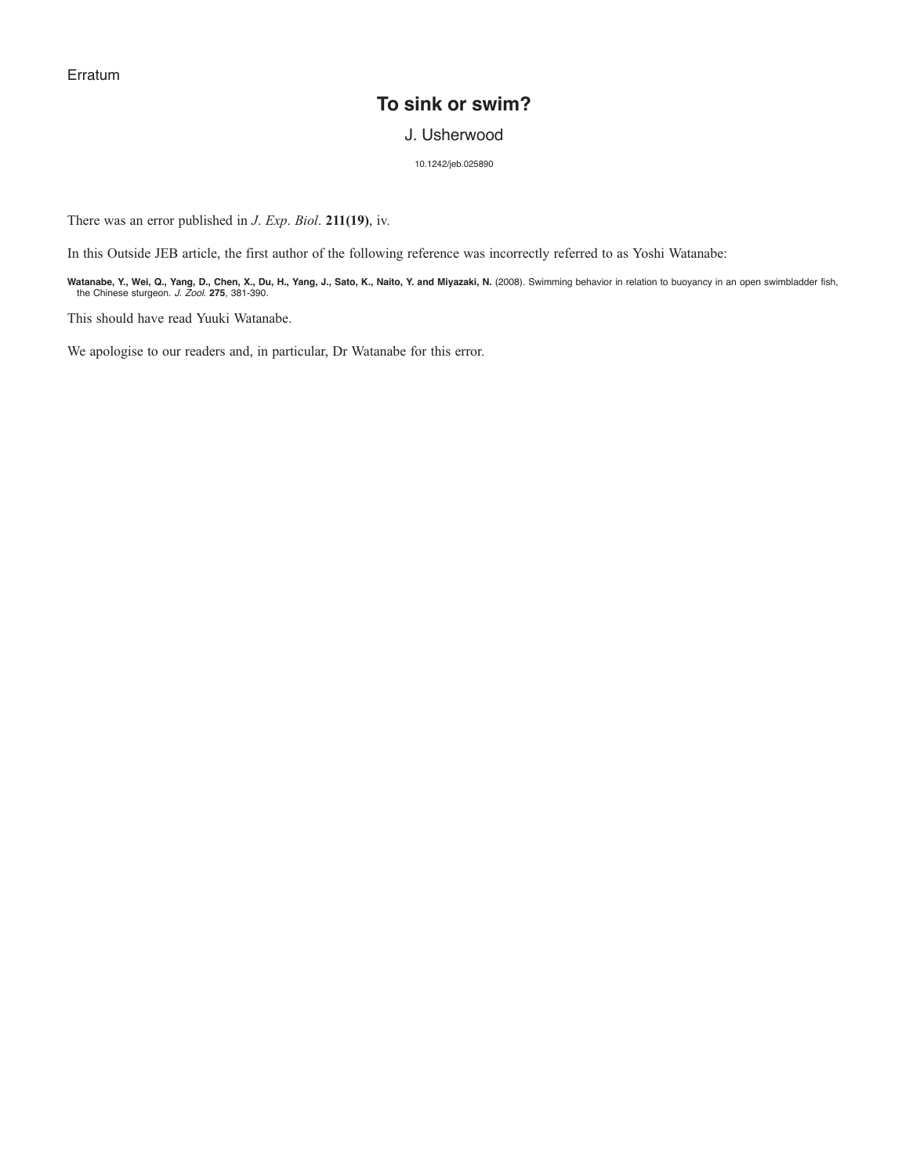# **To sink or swim?**

J. Usherwood

10.1242/jeb.025890

There was an error published in *J*. *Exp*. *Biol*. **211(19)**, iv.

In this Outside JEB article, the first author of the following reference was incorrectly referred to as Yoshi Watanabe:

**Watanabe, Y., Wei, Q., Yang, D., Chen, X., Du, H., Yang, J., Sato, K., Naito, Y. and Miyazaki, N.** (2008). Swimming behavior in relation to buoyancy in an open swimbladder fish, the Chinese sturgeon. J. Zool. **275**, 381-390.

This should have read Yuuki Watanabe.

We apologise to our readers and, in particular, Dr Watanabe for this error.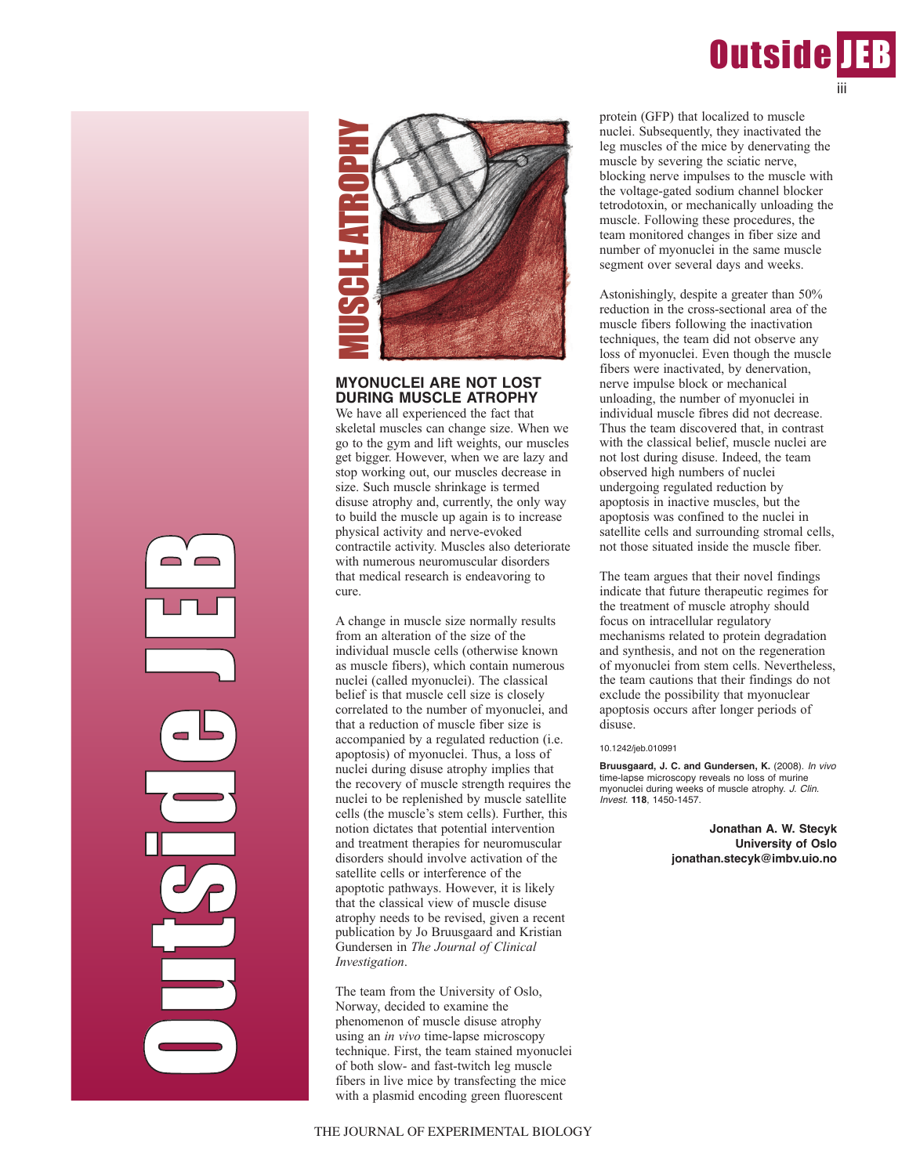# **Outside DEB**

iii



# **MYONUCLEI ARE NOT LOST DURING MUSCLE ATROPHY**

We have all experienced the fact that skeletal muscles can change size. When we go to the gym and lift weights, our muscles get bigger. However, when we are lazy and stop working out, our muscles decrease in size. Such muscle shrinkage is termed disuse atrophy and, currently, the only way to build the muscle up again is to increase physical activity and nerve-evoked contractile activity. Muscles also deteriorate with numerous neuromuscular disorders that medical research is endeavoring to cure.

A change in muscle size normally results from an alteration of the size of the individual muscle cells (otherwise known as muscle fibers), which contain numerous nuclei (called myonuclei). The classical belief is that muscle cell size is closely correlated to the number of myonuclei, and that a reduction of muscle fiber size is accompanied by a regulated reduction (i.e. apoptosis) of myonuclei. Thus, a loss of nuclei during disuse atrophy implies that the recovery of muscle strength requires the nuclei to be replenished by muscle satellite cells (the muscle's stem cells). Further, this notion dictates that potential intervention and treatment therapies for neuromuscular disorders should involve activation of the satellite cells or interference of the apoptotic pathways. However, it is likely that the classical view of muscle disuse atrophy needs to be revised, given a recent publication by Jo Bruusgaard and Kristian Gundersen in *The Journal of Clinical Investigation*. **EXCREDIBNOTE ASSAUTE AND THE CONDUCT THE CONDUCT CONDUCTON DURING MUSCLE ATRO PHY We have all experienced the fact that skeletal manetase can change size. When we largy and if the wights, our muscles through the green fl** 

The team from the University of Oslo, Norway, decided to examine the phenomenon of muscle disuse atrophy using an *in vivo* time-lapse microscopy technique. First, the team stained myonuclei of both slow- and fast-twitch leg muscle fibers in live mice by transfecting the mice

protein (GFP) that localized to muscle nuclei. Subsequently, they inactivated the leg muscles of the mice by denervating the muscle by severing the sciatic nerve, blocking nerve impulses to the muscle with the voltage-gated sodium channel blocker tetrodotoxin, or mechanically unloading the muscle. Following these procedures, the team monitored changes in fiber size and number of myonuclei in the same muscle segment over several days and weeks.

Astonishingly, despite a greater than 50% reduction in the cross-sectional area of the muscle fibers following the inactivation techniques, the team did not observe any loss of myonuclei. Even though the muscle fibers were inactivated, by denervation, nerve impulse block or mechanical unloading, the number of myonuclei in individual muscle fibres did not decrease. Thus the team discovered that, in contrast with the classical belief, muscle nuclei are not lost during disuse. Indeed, the team observed high numbers of nuclei undergoing regulated reduction by apoptosis in inactive muscles, but the apoptosis was confined to the nuclei in satellite cells and surrounding stromal cells, not those situated inside the muscle fiber.

The team argues that their novel findings indicate that future therapeutic regimes for the treatment of muscle atrophy should focus on intracellular regulatory mechanisms related to protein degradation and synthesis, and not on the regeneration of myonuclei from stem cells. Nevertheless, the team cautions that their findings do not exclude the possibility that myonuclear apoptosis occurs after longer periods of disuse.

#### 10.1242/jeb.010991

**Bruusgaard, J. C. and Gundersen, K.** (2008). In vivo time-lapse microscopy reveals no loss of murine myonuclei during weeks of muscle atrophy. J. Clin. Invest. **118**, 1450-1457.

> **Jonathan A. W. Stecyk University of Oslo jonathan.stecyk@imbv.uio.no**

Ol<br>U t $\mathcal{C}_{\mathcal{P}}$ in 1999.<br>Provincia de la contrada de la contrada de la contrada de la contrada de la contrada de la contrada de la cont de J

E

**P**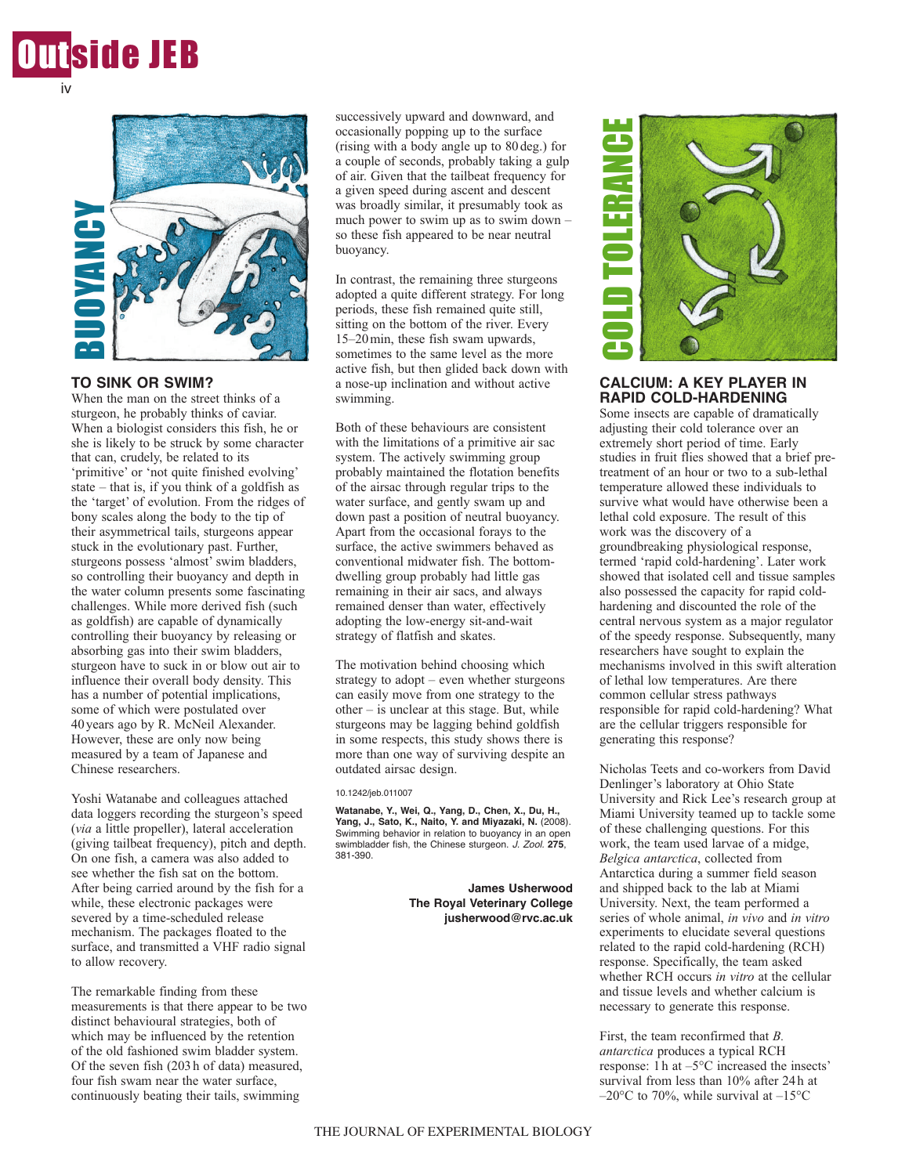



### **TO SINK OR SWIM?**

When the man on the street thinks of a sturgeon, he probably thinks of caviar. When a biologist considers this fish, he or she is likely to be struck by some character that can, crudely, be related to its 'primitive' or 'not quite finished evolving' state – that is, if you think of a goldfish as the 'target' of evolution. From the ridges of bony scales along the body to the tip of their asymmetrical tails, sturgeons appear stuck in the evolutionary past. Further, sturgeons possess 'almost' swim bladders, so controlling their buoyancy and depth in the water column presents some fascinating challenges. While more derived fish (such as goldfish) are capable of dynamically controlling their buoyancy by releasing or absorbing gas into their swim bladders, sturgeon have to suck in or blow out air to influence their overall body density. This has a number of potential implications, some of which were postulated over 40years ago by R. McNeil Alexander. However, these are only now being measured by a team of Japanese and Chinese researchers.

Yoshi Watanabe and colleagues attached data loggers recording the sturgeon's speed (*via* a little propeller), lateral acceleration (giving tailbeat frequency), pitch and depth. On one fish, a camera was also added to see whether the fish sat on the bottom. After being carried around by the fish for a while, these electronic packages were severed by a time-scheduled release mechanism. The packages floated to the surface, and transmitted a VHF radio signal to allow recovery.

The remarkable finding from these measurements is that there appear to be two distinct behavioural strategies, both of which may be influenced by the retention of the old fashioned swim bladder system. Of the seven fish (203h of data) measured, four fish swam near the water surface, continuously beating their tails, swimming

successively upward and downward, and occasionally popping up to the surface (rising with a body angle up to 80deg.) for a couple of seconds, probably taking a gulp of air. Given that the tailbeat frequency for a given speed during ascent and descent was broadly similar, it presumably took as much power to swim up as to swim down – so these fish appeared to be near neutral buoyancy.

In contrast, the remaining three sturgeons adopted a quite different strategy. For long periods, these fish remained quite still, sitting on the bottom of the river. Every 15–20min, these fish swam upwards, sometimes to the same level as the more active fish, but then glided back down with a nose-up inclination and without active swimming.

Both of these behaviours are consistent with the limitations of a primitive air sac system. The actively swimming group probably maintained the flotation benefits of the airsac through regular trips to the water surface, and gently swam up and down past a position of neutral buoyancy. Apart from the occasional forays to the surface, the active swimmers behaved as conventional midwater fish. The bottomdwelling group probably had little gas remaining in their air sacs, and always remained denser than water, effectively adopting the low-energy sit-and-wait strategy of flatfish and skates.

The motivation behind choosing which strategy to adopt – even whether sturgeons can easily move from one strategy to the other – is unclear at this stage. But, while sturgeons may be lagging behind goldfish in some respects, this study shows there is more than one way of surviving despite an outdated airsac design.

10.1242/jeb.011007

**Watanabe, Y., Wei, Q., Yang, D., Chen, X., Du, H., Yang, J., Sato, K., Naito, Y. and Miyazaki, N.** (2008). Swimming behavior in relation to buoyancy in an open swimbladder fish, the Chinese sturgeon. J. Zool. **275**, 381-390.

> **James Usherwood The Royal Veterinary College jusherwood@rvc.ac.uk**



## **CALCIUM: A KEY PLAYER IN RAPID COLD-HARDENING**

Some insects are capable of dramatically adjusting their cold tolerance over an extremely short period of time. Early studies in fruit flies showed that a brief pretreatment of an hour or two to a sub-lethal temperature allowed these individuals to survive what would have otherwise been a lethal cold exposure. The result of this work was the discovery of a groundbreaking physiological response, termed 'rapid cold-hardening'. Later work showed that isolated cell and tissue samples also possessed the capacity for rapid coldhardening and discounted the role of the central nervous system as a major regulator of the speedy response. Subsequently, many researchers have sought to explain the mechanisms involved in this swift alteration of lethal low temperatures. Are there common cellular stress pathways responsible for rapid cold-hardening? What are the cellular triggers responsible for generating this response?

Nicholas Teets and co-workers from David Denlinger's laboratory at Ohio State University and Rick Lee's research group at Miami University teamed up to tackle some of these challenging questions. For this work, the team used larvae of a midge, *Belgica antarctica*, collected from Antarctica during a summer field season and shipped back to the lab at Miami University. Next, the team performed a series of whole animal, *in vivo* and *in vitro* experiments to elucidate several questions related to the rapid cold-hardening (RCH) response. Specifically, the team asked whether RCH occurs *in vitro* at the cellular and tissue levels and whether calcium is necessary to generate this response.

First, the team reconfirmed that *B. antarctica* produces a typical RCH response: 1h at –5°C increased the insects' survival from less than 10% after 24h at  $-20$ °C to 70%, while survival at  $-15$ °C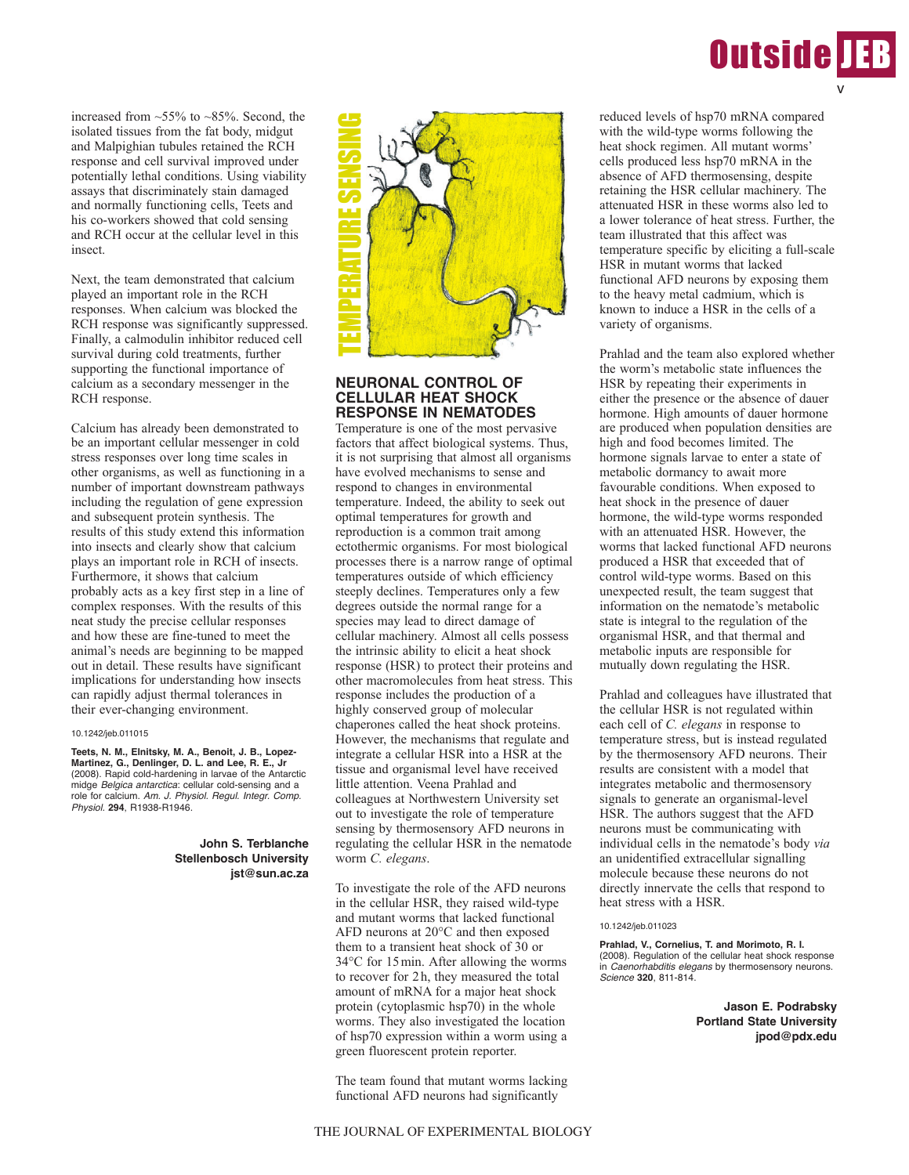# **Outside DEB**

v

increased from ~55% to ~85%. Second, the isolated tissues from the fat body, midgut and Malpighian tubules retained the RCH response and cell survival improved under potentially lethal conditions. Using viability assays that discriminately stain damaged and normally functioning cells, Teets and his co-workers showed that cold sensing and RCH occur at the cellular level in this insect.

Next, the team demonstrated that calcium played an important role in the RCH responses. When calcium was blocked the RCH response was significantly suppressed. Finally, a calmodulin inhibitor reduced cell survival during cold treatments, further supporting the functional importance of calcium as a secondary messenger in the RCH response.

Calcium has already been demonstrated to be an important cellular messenger in cold stress responses over long time scales in other organisms, as well as functioning in a number of important downstream pathways including the regulation of gene expression and subsequent protein synthesis. The results of this study extend this information into insects and clearly show that calcium plays an important role in RCH of insects. Furthermore, it shows that calcium probably acts as a key first step in a line of complex responses. With the results of this neat study the precise cellular responses and how these are fine-tuned to meet the animal's needs are beginning to be mapped out in detail. These results have significant implications for understanding how insects can rapidly adjust thermal tolerances in their ever-changing environment.

#### 10.1242/jeb.011015

**Teets, N. M., Elnitsky, M. A., Benoit, J. B., Lopez-Martinez, G., Denlinger, D. L. and Lee, R. E., Jr** (2008). Rapid cold-hardening in larvae of the Antarctic midge Belgica antarctica: cellular cold-sensing and a role for calcium. Am. J. Physiol. Regul. Integr. Comp. Physiol. **294**, R1938-R1946.

#### **John S. Terblanche Stellenbosch University jst@sun.ac.za**



### **NEURONAL CONTROL OF CELLULAR HEAT SHOCK RESPONSE IN NEMATODES**

Temperature is one of the most pervasive factors that affect biological systems. Thus, it is not surprising that almost all organisms have evolved mechanisms to sense and respond to changes in environmental temperature. Indeed, the ability to seek out optimal temperatures for growth and reproduction is a common trait among ectothermic organisms. For most biological processes there is a narrow range of optimal temperatures outside of which efficiency steeply declines. Temperatures only a few degrees outside the normal range for a species may lead to direct damage of cellular machinery. Almost all cells possess the intrinsic ability to elicit a heat shock response (HSR) to protect their proteins and other macromolecules from heat stress. This response includes the production of a highly conserved group of molecular chaperones called the heat shock proteins. However, the mechanisms that regulate and integrate a cellular HSR into a HSR at the tissue and organismal level have received little attention. Veena Prahlad and colleagues at Northwestern University set out to investigate the role of temperature sensing by thermosensory AFD neurons in regulating the cellular HSR in the nematode worm *C. elegans*.

To investigate the role of the AFD neurons in the cellular HSR, they raised wild-type and mutant worms that lacked functional AFD neurons at 20°C and then exposed them to a transient heat shock of 30 or 34°C for 15min. After allowing the worms to recover for 2h, they measured the total amount of mRNA for a major heat shock protein (cytoplasmic hsp70) in the whole worms. They also investigated the location of hsp70 expression within a worm using a green fluorescent protein reporter.

The team found that mutant worms lacking functional AFD neurons had significantly

reduced levels of hsp70 mRNA compared with the wild-type worms following the heat shock regimen. All mutant worms' cells produced less hsp70 mRNA in the absence of AFD thermosensing, despite retaining the HSR cellular machinery. The attenuated HSR in these worms also led to a lower tolerance of heat stress. Further, the team illustrated that this affect was temperature specific by eliciting a full-scale HSR in mutant worms that lacked functional AFD neurons by exposing them to the heavy metal cadmium, which is known to induce a HSR in the cells of a variety of organisms.

Prahlad and the team also explored whether the worm's metabolic state influences the HSR by repeating their experiments in either the presence or the absence of dauer hormone. High amounts of dauer hormone are produced when population densities are high and food becomes limited. The hormone signals larvae to enter a state of metabolic dormancy to await more favourable conditions. When exposed to heat shock in the presence of dauer hormone, the wild-type worms responded with an attenuated HSR. However, the worms that lacked functional AFD neurons produced a HSR that exceeded that of control wild-type worms. Based on this unexpected result, the team suggest that information on the nematode's metabolic state is integral to the regulation of the organismal HSR, and that thermal and metabolic inputs are responsible for mutually down regulating the HSR.

Prahlad and colleagues have illustrated that the cellular HSR is not regulated within each cell of *C. elegans* in response to temperature stress, but is instead regulated by the thermosensory AFD neurons. Their results are consistent with a model that integrates metabolic and thermosensory signals to generate an organismal-level HSR. The authors suggest that the AFD neurons must be communicating with individual cells in the nematode's body *via* an unidentified extracellular signalling molecule because these neurons do not directly innervate the cells that respond to heat stress with a HSR.

#### 10.1242/jeb.011023

**Prahlad, V., Cornelius, T. and Morimoto, R. I.** (2008). Regulation of the cellular heat shock response in Caenorhabditis elegans by thermosensory neurons. Science **320**, 811-814.

> **Jason E. Podrabsky Portland State University jpod@pdx.edu**